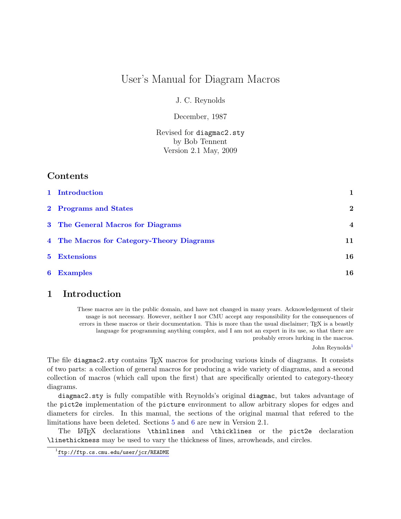# User's Manual for Diagram Macros

J. C. Reynolds

December, 1987

Revised for diagmac2.sty by Bob Tennent Version 2.1 May, 2009

# Contents

| 1 Introduction                            | 1              |
|-------------------------------------------|----------------|
| 2 Programs and States                     | $\mathbf{2}$   |
| 3 The General Macros for Diagrams         | $\overline{4}$ |
| 4 The Macros for Category-Theory Diagrams | 11             |
| <b>5</b> Extensions                       | 16             |
| <b>6</b> Examples                         | 16             |

# <span id="page-0-0"></span>1 Introduction

These macros are in the public domain, and have not changed in many years. Acknowledgement of their usage is not necessary. However, neither I nor CMU accept any responsibility for the consequences of errors in these macros or their documentation. This is more than the usual disclaimer; TFX is a beastly language for programming anything complex, and I am not an expert in its use, so that there are probably errors lurking in the macros.

John Reynolds<sup>[1](#page-0-1)</sup>

The file diagmac2.sty contains TEX macros for producing various kinds of diagrams. It consists of two parts: a collection of general macros for producing a wide variety of diagrams, and a second collection of macros (which call upon the first) that are specifically oriented to category-theory diagrams.

diagmac2.sty is fully compatible with Reynolds's original diagmac, but takes advantage of the pict2e implementation of the picture environment to allow arbitrary slopes for edges and diameters for circles. In this manual, the sections of the original manual that refered to the limitations have been deleted. Sections [5](#page-15-0) and [6](#page-15-1) are new in Version 2.1.

The LATEX declarations \thinlines and \thicklines or the pict2e declaration \linethickness may be used to vary the thickness of lines, arrowheads, and circles.

<span id="page-0-1"></span> $^{1}$ <ftp://ftp.cs.cmu.edu/user/jcr/README>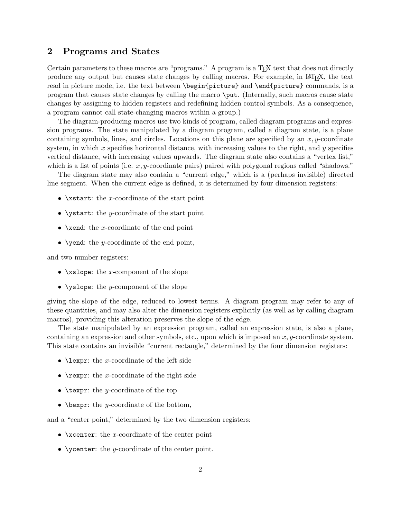## <span id="page-1-0"></span>2 Programs and States

Certain parameters to these macros are "programs." A program is a T<sub>E</sub>X text that does not directly produce any output but causes state changes by calling macros. For example, in LATEX, the text read in picture mode, i.e. the text between \begin{picture} and \end{picture} commands, is a program that causes state changes by calling the macro \put. (Internally, such macros cause state changes by assigning to hidden registers and redefining hidden control symbols. As a consequence, a program cannot call state-changing macros within a group.)

The diagram-producing macros use two kinds of program, called diagram programs and expression programs. The state manipulated by a diagram program, called a diagram state, is a plane containing symbols, lines, and circles. Locations on this plane are specified by an  $x, y$ -coordinate system, in which  $x$  specifies horizontal distance, with increasing values to the right, and  $y$  specifies vertical distance, with increasing values upwards. The diagram state also contains a "vertex list," which is a list of points (i.e.  $x, y$ -coordinate pairs) paired with polygonal regions called "shadows."

The diagram state may also contain a "current edge," which is a (perhaps invisible) directed line segment. When the current edge is defined, it is determined by four dimension registers:

- $\xstar$ : the x-coordinate of the start point
- \ystart: the y-coordinate of the start point
- \xend: the x-coordinate of the end point
- \vend: the y-coordinate of the end point,

and two number registers:

- $\xrightarrow{\text{rslope: the } x\text{-component of the slope}}$
- $\text{V}\text{slope}:$  the y-component of the slope

giving the slope of the edge, reduced to lowest terms. A diagram program may refer to any of these quantities, and may also alter the dimension registers explicitly (as well as by calling diagram macros), providing this alteration preserves the slope of the edge.

The state manipulated by an expression program, called an expression state, is also a plane, containing an expression and other symbols, etc., upon which is imposed an  $x, y$ -coordinate system. This state contains an invisible "current rectangle," determined by the four dimension registers:

- **\lexpr:** the x-coordinate of the left side
- **\rexpr:** the x-coordinate of the right side
- **\texpr:** the *y*-coordinate of the top
- $\bullet$  \bexpr: the y-coordinate of the bottom,

and a "center point," determined by the two dimension registers:

- $\xarrow{\text{vector}}$ : the *x*-coordinate of the center point
- \venter: the y-coordinate of the center point.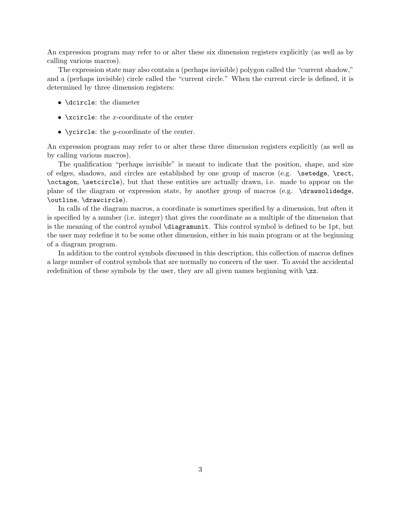An expression program may refer to or alter these six dimension registers explicitly (as well as by calling various macros).

The expression state may also contain a (perhaps invisible) polygon called the "current shadow," and a (perhaps invisible) circle called the "current circle." When the current circle is defined, it is determined by three dimension registers:

- \dcircle: the diameter
- $\xrightleftharpoonup$   $\arrows$   $\therefore$   $\therefore$   $\therefore$   $\therefore$   $\therefore$   $\therefore$   $\therefore$   $\therefore$   $\therefore$   $\therefore$   $\therefore$   $\therefore$   $\therefore$   $\therefore$   $\therefore$   $\therefore$   $\therefore$   $\therefore$   $\therefore$   $\therefore$   $\therefore$   $\therefore$   $\therefore$   $\therefore$   $\therefore$   $\therefore$   $\therefore$   $\therefore$   $\therefore$   $\therefore$   $\therefore$   $\therefore$   $\therefore$   $\therefore$
- \vircle: the y-coordinate of the center.

An expression program may refer to or alter these three dimension registers explicitly (as well as by calling various macros).

The qualification "perhaps invisible" is meant to indicate that the position, shape, and size of edges, shadows, and circles are established by one group of macros (e.g. \setedge, \rect, \octagon, \setcircle), but that these entities are actually drawn, i.e. made to appear on the plane of the diagram or expression state, by another group of macros (e.g. \drawsolidedge, \outline, \drawcircle).

In calls of the diagram macros, a coordinate is sometimes specified by a dimension, but often it is specified by a number (i.e. integer) that gives the coordinate as a multiple of the dimension that is the meaning of the control symbol \diagramunit. This control symbol is defined to be 1pt, but the user may redefine it to be some other dimension, either in his main program or at the beginning of a diagram program.

In addition to the control symbols discussed in this description, this collection of macros defines a large number of control symbols that are normally no concern of the user. To avoid the accidental redefinition of these symbols by the user, they are all given names beginning with  $\zeta$ z.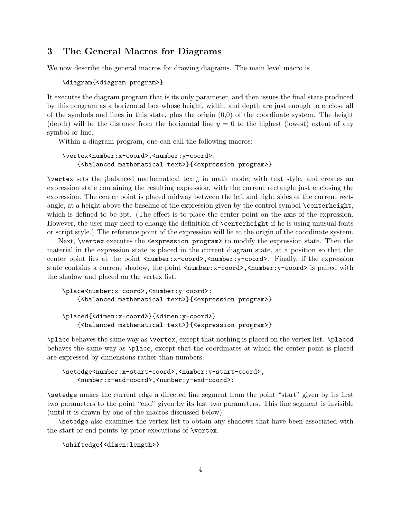## <span id="page-3-0"></span>3 The General Macros for Diagrams

We now describe the general macros for drawing diagrams. The main level macro is

#### \diagram{<diagram program>}

It executes the diagram program that is its only parameter, and then issues the final state produced by this program as a horizontal box whose height, width, and depth are just enough to enclose all of the symbols and lines in this state, plus the origin  $(0,0)$  of the coordinate system. The height (depth) will be the distance from the horizontal line  $y = 0$  to the highest (lowest) extent of any symbol or line.

Within a diagram program, one can call the following macros:

### \vertex<number:x-coord>,<number:y-coord>: {<balanced mathematical text>}{<expression program>}

 $\text{vertex sets the }i\text{balanced mathematical text}$  in math mode, with text style, and creates an expression state containing the resulting expression, with the current rectangle just enclosing the expression. The center point is placed midway between the left and right sides of the current rectangle, at a height above the baseline of the expression given by the control symbol **\centerheight**, which is defined to be 3pt. (The effect is to place the center point on the axis of the expression. However, the user may need to change the definition of **\centerheight** if he is using unusual fonts or script style.) The reference point of the expression will lie at the origin of the coordinate system.

Next, \vertex executes the <expression program> to modify the expression state. Then the material in the expression state is placed in the current diagram state, at a position so that the center point lies at the point  $\langle$ number:x-coord>, $\langle$ number:y-coord>. Finally, if the expression state contains a current shadow, the point  $\langle$ number:x-coord>, $\langle$ number:y-coord> is paired with the shadow and placed on the vertex list.

```
\place<number:x-coord>,<number:y-coord>:
    {<balanced mathematical text>}{<expression program>}
```

```
\placed{<dimen:x-coord>}{<dimen:y-coord>}
    {<balanced mathematical text>}{<expression program>}
```
\place behaves the same way as \vertex, except that nothing is placed on the vertex list. \placed behaves the same way as \place, except that the coordinates at which the center point is placed are expressed by dimensions rather than numbers.

```
\setedge<number:x-start-coord>,<number:y-start-coord>,
    <number:x-end-coord>,<number:y-end-coord>:
```
\setedge makes the current edge a directed line segment from the point "start" given by its first two parameters to the point "end" given by its last two parameters. This line segment is invisible (until it is drawn by one of the macros discussed below).

\setedge also examines the vertex list to obtain any shadows that have been associated with the start or end points by prior executions of \vertex.

\shiftedge{<dimen:length>}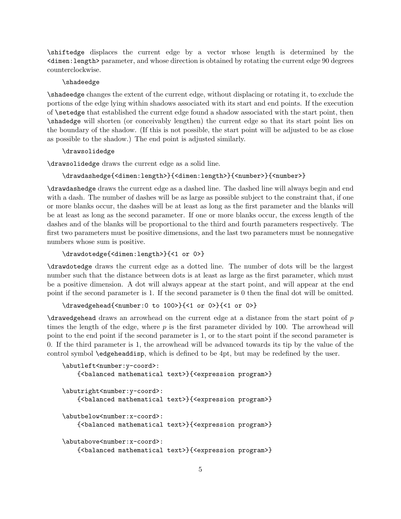\shiftedge displaces the current edge by a vector whose length is determined by the <dimen:length> parameter, and whose direction is obtained by rotating the current edge 90 degrees counterclockwise.

#### \shadeedge

\shadeedge changes the extent of the current edge, without displacing or rotating it, to exclude the portions of the edge lying within shadows associated with its start and end points. If the execution of \setedge that established the current edge found a shadow associated with the start point, then \shadedge will shorten (or conceivably lengthen) the current edge so that its start point lies on the boundary of the shadow. (If this is not possible, the start point will be adjusted to be as close as possible to the shadow.) The end point is adjusted similarly.

#### \drawsolidedge

\drawsolidedge draws the current edge as a solid line.

#### \drawdashedge{<dimen:length>}{<dimen:length>}{<number>}{<number>}

\drawdashedge draws the current edge as a dashed line. The dashed line will always begin and end with a dash. The number of dashes will be as large as possible subject to the constraint that, if one or more blanks occur, the dashes will be at least as long as the first parameter and the blanks will be at least as long as the second parameter. If one or more blanks occur, the excess length of the dashes and of the blanks will be proportional to the third and fourth parameters respectively. The first two parameters must be positive dimensions, and the last two parameters must be nonnegative numbers whose sum is positive.

#### \drawdotedge{<dimen:length>}{<1 or 0>}

\drawdotedge draws the current edge as a dotted line. The number of dots will be the largest number such that the distance between dots is at least as large as the first parameter, which must be a positive dimension. A dot will always appear at the start point, and will appear at the end point if the second parameter is 1. If the second parameter is 0 then the final dot will be omitted.

#### \drawedgehead{<number:0 to 100>}{<1 or 0>}{<1 or 0>}

\drawedgehead draws an arrowhead on the current edge at a distance from the start point of p times the length of the edge, where  $p$  is the first parameter divided by 100. The arrowhead will point to the end point if the second parameter is 1, or to the start point if the second parameter is 0. If the third parameter is 1, the arrowhead will be advanced towards its tip by the value of the control symbol \edgeheaddisp, which is defined to be 4pt, but may be redefined by the user.

```
\abutleft<number:y-coord>:
    {<balanced mathematical text>}{<expression program>}
\abutright<number:y-coord>:
    {<balanced mathematical text>}{<expression program>}
\abutbelow<number:x-coord>:
    {<balanced mathematical text>}{<expression program>}
\abutabove<number:x-coord>:
    {<balanced mathematical text>}{<expression program>}
```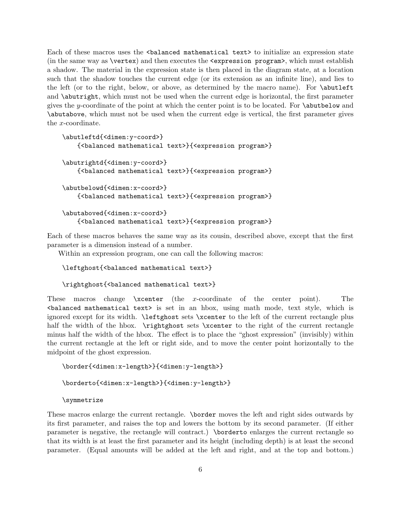Each of these macros uses the <balanced mathematical text> to initialize an expression state (in the same way as \vertex) and then executes the <expression program>, which must establish a shadow. The material in the expression state is then placed in the diagram state, at a location such that the shadow touches the current edge (or its extension as an infinite line), and lies to the left (or to the right, below, or above, as determined by the macro name). For \abutleft and \abutright, which must not be used when the current edge is horizontal, the first parameter gives the y-coordinate of the point at which the center point is to be located. For  $\alpha$  abutbelow and \abutabove, which must not be used when the current edge is vertical, the first parameter gives the x-coordinate.

```
\abutleftd{<dimen:y-coord>}
    {<balanced mathematical text>}{<expression program>}
\abutrightd{<dimen:y-coord>}
    {<balanced mathematical text>}{<expression program>}
\abutbelowd{<dimen:x-coord>}
    {<balanced mathematical text>}{<expression program>}
\abutaboved{<dimen:x-coord>}
    {<balanced mathematical text>}{<expression program>}
```
Each of these macros behaves the same way as its cousin, described above, except that the first parameter is a dimension instead of a number.

Within an expression program, one can call the following macros:

```
\leftghost{<balanced mathematical text>}
```

```
\rightghost{<balanced mathematical text>}
```
These macros change \xcenter (the x-coordinate of the center point). The <balanced mathematical text> is set in an hbox, using math mode, text style, which is ignored except for its width. \leftghost sets \xcenter to the left of the current rectangle plus half the width of the hbox.  $\rightarrow$  sets  $\xcenter$  to the right of the current rectangle minus half the width of the hbox. The effect is to place the "ghost expression" (invisibly) within the current rectangle at the left or right side, and to move the center point horizontally to the midpoint of the ghost expression.

```
\border{<dimen:x-length>}{<dimen:y-length>}
\borderto{<dimen:x-length>}{<dimen:y-length>}
```
\symmetrize

These macros enlarge the current rectangle. \border moves the left and right sides outwards by its first parameter, and raises the top and lowers the bottom by its second parameter. (If either parameter is negative, the rectangle will contract.) \borderto enlarges the current rectangle so that its width is at least the first parameter and its height (including depth) is at least the second parameter. (Equal amounts will be added at the left and right, and at the top and bottom.)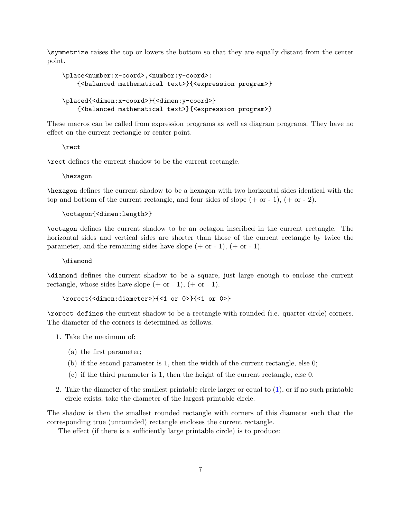\symmetrize raises the top or lowers the bottom so that they are equally distant from the center point.

```
\place<number:x-coord>,<number:y-coord>:
    {<balanced mathematical text>}{<expression program>}
\placed{<dimen:x-coord>}{<dimen:y-coord>}
    {<balanced mathematical text>}{<expression program>}
```
These macros can be called from expression programs as well as diagram programs. They have no effect on the current rectangle or center point.

\rect

\rect defines the current shadow to be the current rectangle.

\hexagon

\hexagon defines the current shadow to be a hexagon with two horizontal sides identical with the top and bottom of the current rectangle, and four sides of slope  $(+ \text{ or } -1), (+ \text{ or } -2).$ 

\octagon{<dimen:length>}

\octagon defines the current shadow to be an octagon inscribed in the current rectangle. The horizontal sides and vertical sides are shorter than those of the current rectangle by twice the parameter, and the remaining sides have slope  $(+ \text{ or } -1), (+ \text{ or } -1).$ 

\diamond

\diamond defines the current shadow to be a square, just large enough to enclose the current rectangle, whose sides have slope  $(+ \text{ or } -1)$ ,  $(+ \text{ or } -1)$ .

\rorect{<dimen:diameter>}{<1 or 0>}{<1 or 0>}

\rorect defines the current shadow to be a rectangle with rounded (i.e. quarter-circle) corners. The diameter of the corners is determined as follows.

- <span id="page-6-0"></span>1. Take the maximum of:
	- (a) the first parameter;
	- (b) if the second parameter is 1, then the width of the current rectangle, else 0;
	- (c) if the third parameter is 1, then the height of the current rectangle, else 0.
- 2. Take the diameter of the smallest printable circle larger or equal to  $(1)$ , or if no such printable circle exists, take the diameter of the largest printable circle.

The shadow is then the smallest rounded rectangle with corners of this diameter such that the corresponding true (unrounded) rectangle encloses the current rectangle.

The effect (if there is a sufficiently large printable circle) is to produce: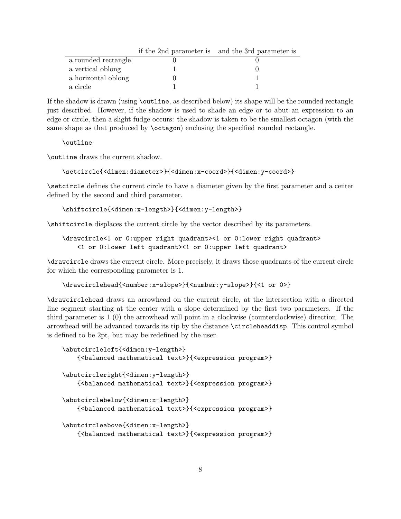|                     | if the 2nd parameter is and the 3rd parameter is |
|---------------------|--------------------------------------------------|
| a rounded rectangle |                                                  |
| a vertical oblong   |                                                  |
| a horizontal oblong |                                                  |
| a circle            |                                                  |

If the shadow is drawn (using \outline, as described below) its shape will be the rounded rectangle just described. However, if the shadow is used to shade an edge or to abut an expression to an edge or circle, then a slight fudge occurs: the shadow is taken to be the smallest octagon (with the same shape as that produced by **\ctagon**) enclosing the specified rounded rectangle.

### \outline

\outline draws the current shadow.

### \setcircle{<dimen:diameter>}{<dimen:x-coord>}{<dimen:y-coord>}

\setcircle defines the current circle to have a diameter given by the first parameter and a center defined by the second and third parameter.

### \shiftcircle{<dimen:x-length>}{<dimen:y-length>}

\shiftcircle displaces the current circle by the vector described by its parameters.

## \drawcircle<1 or 0:upper right quadrant><1 or 0:lower right quadrant> <1 or 0:lower left quadrant><1 or 0:upper left quadrant>

\drawcircle draws the current circle. More precisely, it draws those quadrants of the current circle for which the corresponding parameter is 1.

### \drawcirclehead{<number:x-slope>}{<number:y-slope>}{<1 or 0>}

\drawcirclehead draws an arrowhead on the current circle, at the intersection with a directed line segment starting at the center with a slope determined by the first two parameters. If the third parameter is 1 (0) the arrowhead will point in a clockwise (counterclockwise) direction. The arrowhead will be advanced towards its tip by the distance \circleheaddisp. This control symbol is defined to be 2pt, but may be redefined by the user.

```
\abutcircleleft{<dimen:y-length>}
    {<balanced mathematical text>}{<expression program>}
\abutcircleright{<dimen:y-length>}
    {<balanced mathematical text>}{<expression program>}
\abutcirclebelow{<dimen:x-length>}
    {<balanced mathematical text>}{<expression program>}
\abutcircleabove{<dimen:x-length>}
    {<balanced mathematical text>}{<expression program>}
```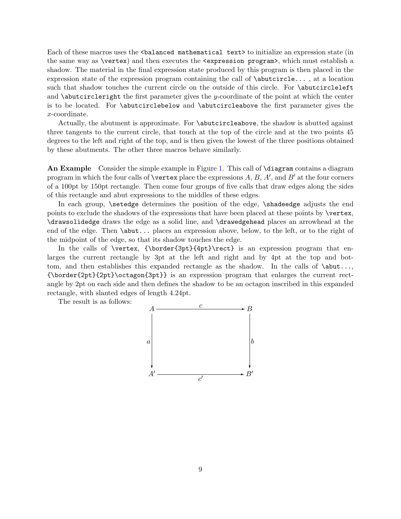Each of these macros uses the <br/>balanced mathematical text> to initialize an expression state (in the same way as \vertex) and then executes the <expression program>, which must establish a shadow. The material in the final expression state produced by this program is then placed in the expression state of the expression program containing the call of \abutcircle... , at a location such that shadow touches the current circle on the outside of this circle. For \abutcircleleft and  $\Delta$  butcircleright the first parameter gives the y-coordinate of the point at which the center is to be located. For \abutcirclebelow and \abutcircleabove the first parameter gives the x-coordinate.

Actually, the abutment is approximate. For \abutcircleabove, the shadow is abutted against three tangents to the current circle, that touch at the top of the circle and at the two points 45 degrees to the left and right of the top, and is then given the lowest of the three positions obtained by these abutments. The other three macros behave similarly.

An Example Consider the simple example in Figure [1.](#page-9-0) This call of \diagram contains a diagram program in which the four calls of \vertex place the expressions  $A, B, A',$  and  $B'$  at the four corners of a 100pt by 150pt rectangle. Then come four groups of five calls that draw edges along the sides of this rectangle and abut expressions to the middles of these edges.

In each group, \setedge determines the position of the edge, \shadeedge adjusts the end points to exclude the shadows of the expressions that have been placed at these points by \vertex, \drawsolidedge draws the edge as a solid line, and \drawedgehead places an arrowhead at the end of the edge. Then \abut... places an expression above, below, to the left, or to the right of the midpoint of the edge, so that its shadow touches the edge.

In the calls of \vertex, {\border{3pt}{4pt}\rect} is an expression program that enlarges the current rectangle by 3pt at the left and right and by 4pt at the top and bottom, and then establishes this expanded rectangle as the shadow. In the calls of  $\abla$ - $\dots$ , {\border{2pt}{2pt}\octagon{3pt}} is an expression program that enlarges the current rectangle by 2pt on each side and then defines the shadow to be an octagon inscribed in this expanded rectangle, with slanted edges of length 4.24pt.

The result is as follows:

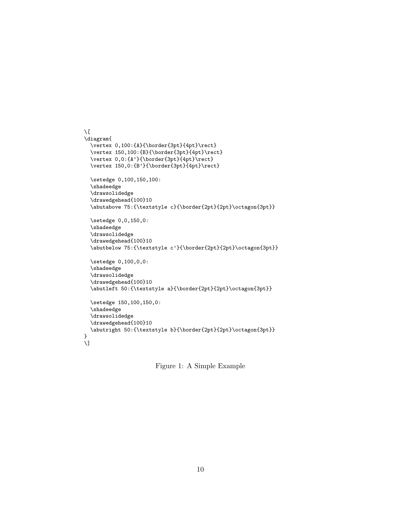```
\setminus[
\diagram{
  \vertex 0,100:{A}{\border{3pt}{4pt}\rect}
  \vertex 150,100:{B}{\border{3pt}{4pt}\rect}
  \vertex 0,0:\{A'\}\{\text{3pt}\{4pt\}\text{}\vertex 150,0:{B'}{\border{3pt}{4pt}\rect}
  \setedge 0,100,150,100:
  \shadeedge
  \drawsolidedge
  \drawedgehead{100}10
  \abutabove 75:{\textstyle c}{\border{2pt}{2pt}\octagon{3pt}}
  \setedge 0,0,150,0:
  \shadeedge
  \drawsolidedge
  \drawedgehead{100}10
  \abutbelow 75:{\textstyle c'}{\border{2pt}{2pt}\octagon{3pt}}
  \setedge 0,100,0,0:
  \shadeedge
  \drawsolidedge
  \drawedgehead{100}10
  \abutleft 50:{\textstyle a}{\border{2pt}{2pt}\octagon{3pt}}
  \setedge 150,100,150,0:
  \shadeedge
  \drawsolidedge
  \drawedgehead{100}10
  \abutright 50:{\textstyle b}{\border{2pt}{2pt}\octagon{3pt}}
}
\lambda]
```
<span id="page-9-0"></span>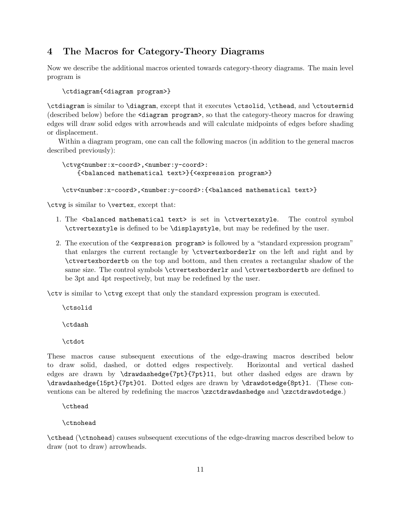# <span id="page-10-0"></span>4 The Macros for Category-Theory Diagrams

Now we describe the additional macros oriented towards category-theory diagrams. The main level program is

\ctdiagram{<diagram program>}

\ctdiagram is similar to \diagram, except that it executes \ctsolid, \cthead, and \ctoutermid (described below) before the <diagram program>, so that the category-theory macros for drawing edges will draw solid edges with arrowheads and will calculate midpoints of edges before shading or displacement.

Within a diagram program, one can call the following macros (in addition to the general macros described previously):

```
\ctvg<number:x-coord>,<number:y-coord>:
    {<balanced mathematical text>}{<expression program>}
```
\ctv<number:x-coord>,<number:y-coord>:{<br/>\balanced mathematical text>}

\ctvg is similar to \vertex, except that:

- 1. The <br/>balanced mathematical text> is set in \ctvertexstyle. The control symbol \ctvertexstyle is defined to be \displaystyle, but may be redefined by the user.
- 2. The execution of the <expression program> is followed by a "standard expression program" that enlarges the current rectangle by \ctvertexborderlr on the left and right and by \ctvertexbordertb on the top and bottom, and then creates a rectangular shadow of the same size. The control symbols \ctvertexborderlr and \ctvertexbordertb are defined to be 3pt and 4pt respectively, but may be redefined by the user.

\ctv is similar to \ctvg except that only the standard expression program is executed.

\ctsolid

\ctdash

\ctdot

These macros cause subsequent executions of the edge-drawing macros described below to draw solid, dashed, or dotted edges respectively. Horizontal and vertical dashed edges are drawn by \drawdashedge{7pt}{7pt}11, but other dashed edges are drawn by \drawdashedge{15pt}{7pt}01. Dotted edges are drawn by \drawdotedge{8pt}1. (These conventions can be altered by redefining the macros \zzctdrawdashedge and \zzctdrawdotedge.)

\cthead

\ctnohead

\cthead (\ctnohead) causes subsequent executions of the edge-drawing macros described below to draw (not to draw) arrowheads.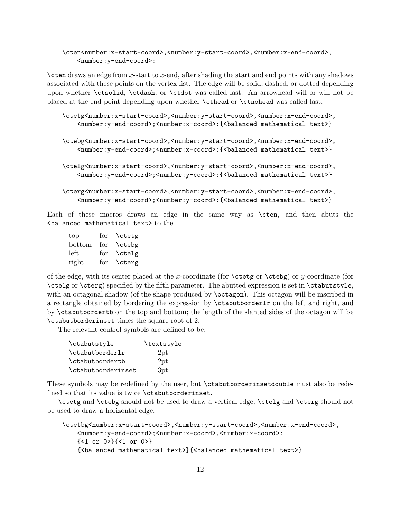## \cten<number:x-start-coord>,<number:y-start-coord>,<number:x-end-coord>, <number:y-end-coord>:

\cten draws an edge from x-start to x-end, after shading the start and end points with any shadows associated with these points on the vertex list. The edge will be solid, dashed, or dotted depending upon whether \ctsolid, \ctdash, or \ctdot was called last. An arrowhead will or will not be placed at the end point depending upon whether \cthead or \ctnohead was called last.

```
\ctetg<number:x-start-coord>,<number:y-start-coord>,<number:x-end-coord>,
    <number:y-end-coord>;<number:x-coord>:{<balanced mathematical text>}
```

```
\ctebg<number:x-start-coord>,<number:y-start-coord>,<number:x-end-coord>,
    <number:y-end-coord>;<number:x-coord>:{<balanced mathematical text>}
```

```
\ctelg<number:x-start-coord>,<number:y-start-coord>,<number:x-end-coord>,
    <number:y-end-coord>;<number:y-coord>:{<balanced mathematical text>}
```

```
\cterg<number:x-start-coord>,<number:y-start-coord>,<number:x-end-coord>,
    <number:y-end-coord>;<number:y-coord>:{<balanced mathematical text>}
```
Each of these macros draws an edge in the same way as \cten, and then abuts the <balanced mathematical text> to the

| top    | for | \ctetg |
|--------|-----|--------|
| bottom | for | \ctebg |
| left   | for | \ctelg |
| right  | for | \cterg |

of the edge, with its center placed at the x-coordinate (for  $\ctet{g}$  or  $y$ -coordinate (for \ctelg or \cterg) specified by the fifth parameter. The abutted expression is set in \ctabutstyle, with an octagonal shadow (of the shape produced by **\octagon**). This octagon will be inscribed in a rectangle obtained by bordering the expression by \ctabutborderlr on the left and right, and by \ctabutbordertb on the top and bottom; the length of the slanted sides of the octagon will be \ctabutborderinset times the square root of 2.

The relevant control symbols are defined to be:

| \ctabutstyle             | \textstyle |
|--------------------------|------------|
| \ctabutborderlr          | 2pt        |
| \ctabutbordertb          | 2pt        |
| <i>ctabutborderinset</i> | 3pt        |

These symbols may be redefined by the user, but \ctabutborderinsetdouble must also be redefined so that its value is twice \ctabutborderinset.

\ctetg and \ctebg should not be used to draw a vertical edge; \ctelg and \cterg should not be used to draw a horizontal edge.

```
\ctetbg<number:x-start-coord>,<number:y-start-coord>,<number:x-end-coord>,
    <number:y-end-coord>;<number:x-coord>,<number:x-coord>:
    {<1 or 0>}{<1 or 0>}
    {<balanced mathematical text>}{<balanced mathematical text>}
```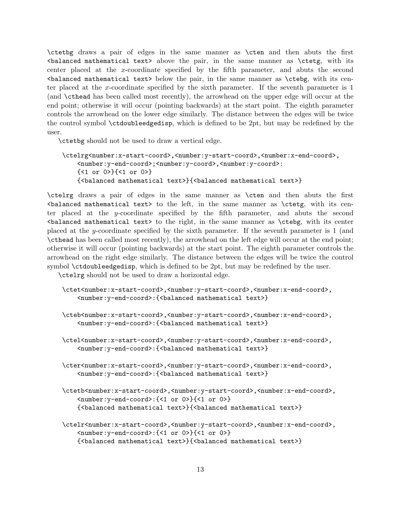\ctetbg draws a pair of edges in the same manner as \cten and then abuts the first <balanced mathematical text> above the pair, in the same manner as \ctetg, with its center placed at the x-coordinate specified by the fifth parameter, and abuts the second  $\delta$  shalanced mathematical text> below the pair, in the same manner as  $\c{tebg}$ , with its center placed at the x-coordinate specified by the sixth parameter. If the seventh parameter is 1 (and \cthead has been called most recently), the arrowhead on the upper edge will occur at the end point; otherwise it will occur (pointing backwards) at the start point. The eighth parameter controls the arrowhead on the lower edge similarly. The distance between the edges will be twice the control symbol \ctdoubleedgedisp, which is defined to be 2pt, but may be redefined by the user.

\ctetbg should not be used to draw a vertical edge.

```
\ctelrg<number:x-start-coord>,<number:y-start-coord>,<number:x-end-coord>,
    <number:y-end-coord>;<number:y-coord>,<number:y-coord>:
    {<1 or 0>}{<1 or 0>}
    {<balanced mathematical text>}{<balanced mathematical text>}
```
\ctelrg draws a pair of edges in the same manner as \cten and then abuts the first  $\lambda$  shalanced mathematical text> to the left, in the same manner as  $\text{ctetg}$ , with its center placed at the y-coordinate specified by the fifth parameter, and abuts the second  $\alpha$  stalanced mathematical text to the right, in the same manner as  $\cte$  with its center placed at the y-coordinate specified by the sixth parameter. If the seventh parameter is 1 (and \cthead has been called most recently), the arrowhead on the left edge will occur at the end point; otherwise it will occur (pointing backwards) at the start point. The eighth parameter controls the arrowhead on the right edge similarly. The distance between the edges will be twice the control symbol \ctdoubleedgedisp, which is defined to be 2pt, but may be redefined by the user.

\ctelrg should not be used to draw a horizontal edge.

```
\ctet<number:x-start-coord>,<number:y-start-coord>,<number:x-end-coord>,
    <number:y-end-coord>:{<balanced mathematical text>}
```
- \cteb<number:x-start-coord>,<number:y-start-coord>,<number:x-end-coord>, <number:y-end-coord>:{<balanced mathematical text>}
- \ctel<number:x-start-coord>,<number:y-start-coord>,<number:x-end-coord>, <number:y-end-coord>:{<balanced mathematical text>}
- \cter<number:x-start-coord>,<number:y-start-coord>,<number:x-end-coord>, <number:y-end-coord>:{<balanced mathematical text>}
- \ctetb<number:x-start-coord>,<number:y-start-coord>,<number:x-end-coord>, <number:y-end-coord>:{<1 or 0>}{<1 or 0>} {<balanced mathematical text>}{<balanced mathematical text>}
- \ctelr<number:x-start-coord>,<number:y-start-coord>,<number:x-end-coord>, <number:y-end-coord>:{<1 or 0>}{<1 or 0>} {<balanced mathematical text>}{<balanced mathematical text>}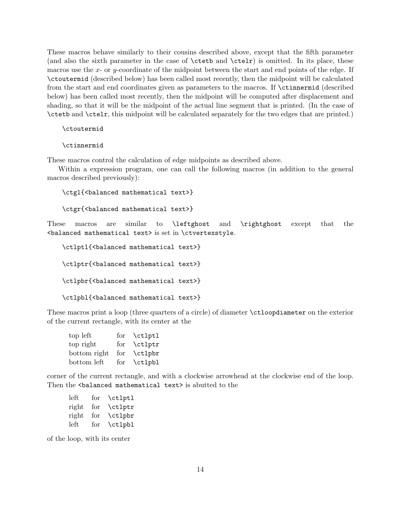These macros behave similarly to their cousins described above, except that the fifth parameter (and also the sixth parameter in the case of \ctetb and \ctelr) is omitted. In its place, these macros use the  $x$ - or  $y$ -coordinate of the midpoint between the start and end points of the edge. If \ctoutermid (described below) has been called most recently, then the midpoint will be calculated from the start and end coordinates given as parameters to the macros. If \ctinnermid (described below) has been called most recently, then the midpoint will be computed after displacement and shading, so that it will be the midpoint of the actual line segment that is printed. (In the case of \ctetb and \ctelr, this midpoint will be calculated separately for the two edges that are printed.)

\ctoutermid

#### \ctinnermid

These macros control the calculation of edge midpoints as described above.

Within a expression program, one can call the following macros (in addition to the general macros described previously):

```
\ctgl{<balanced mathematical text>}
\ctgr{<balanced mathematical text>}
```
These macros are similar to \leftghost and \rightghost except that the <balanced mathematical text> is set in \ctvertexstyle.

```
\ctlptl{<br/>balanced mathematical text>}
\ctlptr{<br/>balanced mathematical text>}
\ctlpbr{<br/>Sbalanced mathematical text>}
\ctlpbl{<br/>balanced mathematical text>}
```
These macros print a loop (three quarters of a circle) of diameter \ctloopdiameter on the exterior of the current rectangle, with its center at the

| top left     | for | \ctlptl |
|--------------|-----|---------|
| top right    | for | \ctlptr |
| bottom right | for | \ctlpbr |
| bottom left  | for | \ctlpbl |

corner of the current rectangle, and with a clockwise arrowhead at the clockwise end of the loop. Then the <br/>balanced mathematical text> is abutted to the

| left  | for | \ctlptl |
|-------|-----|---------|
| right | for | \ctlptr |
| right | for | \ctlpbr |
| left  | for | \ctlpbl |

of the loop, with its center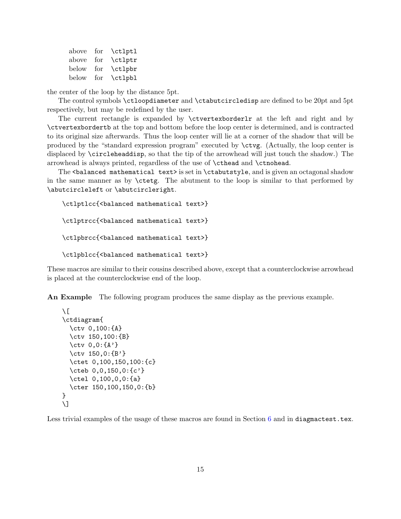| above          | for | \ctlptl |
|----------------|-----|---------|
| above          | for | \ctlptr |
| $_{\rm below}$ | for | \ctlpbr |
| below          | for | \ctlpbl |

the center of the loop by the distance 5pt.

The control symbols \ctloopdiameter and \ctabutcircledisp are defined to be 20pt and 5pt respectively, but may be redefined by the user.

The current rectangle is expanded by \ctvertexborderlr at the left and right and by \ctvertexbordertb at the top and bottom before the loop center is determined, and is contracted to its original size afterwards. Thus the loop center will lie at a corner of the shadow that will be produced by the "standard expression program" executed by \ctvg. (Actually, the loop center is displaced by \circleheaddisp, so that the tip of the arrowhead will just touch the shadow.) The arrowhead is always printed, regardless of the use of \cthead and \ctnohead.

The <br/>balanced mathematical text> is set in \ctabutstyle, and is given an octagonal shadow in the same manner as by \ctetg. The abutment to the loop is similar to that performed by \abutcircleleft or \abutcircleright.

```
\ctlptlcc{<balanced mathematical text>}
\ctlptrcc{<balanced mathematical text>}
\ctlpbrcc{<balanced mathematical text>}
\ctlpblcc{<balanced mathematical text>}
```
These macros are similar to their cousins described above, except that a counterclockwise arrowhead is placed at the counterclockwise end of the loop.

An Example The following program produces the same display as the previous example.

```
\sqrt{ }\ctdiagram{
  \ctv 0,100:{A}
  \ctv 150,100:{B}
  \ctv 0,0:{A'}
  \ctv 150,0:{B'}
  \ctet 0,100,150,100:{c}
  \cteb 0,0,150,0:{c'}
  \ctel 0,100,0,0:{a}
  \cter 150,100,150,0:{b}
}
\setminus]
```
Less trivial examples of the usage of these macros are found in Section [6](#page-15-1) and in diagmactest.tex.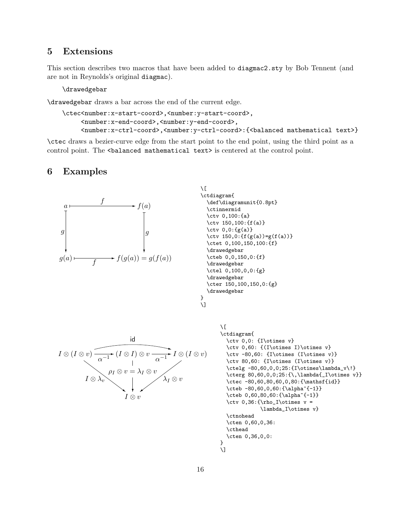## <span id="page-15-0"></span>5 Extensions

This section describes two macros that have been added to diagmac2.sty by Bob Tennent (and are not in Reynolds's original diagmac).

\drawedgebar

\drawedgebar draws a bar across the end of the current edge.

```
\ctec<number:x-start-coord>,<number:y-start-coord>,
     <number:x-end-coord>,<number:y-end-coord>,
     <number:x-ctrl-coord>,<number:y-ctrl-coord>:{<balanced mathematical text>}
```
\ctec draws a bezier-curve edge from the start point to the end point, using the third point as a control point. The <br/>balanced mathematical text> is centered at the control point.

## <span id="page-15-1"></span>6 Examples



```
\sqrt{ }\ctdiagram{
 \def\diagramunit{0.8pt}
 \ctinnermid
\ctv 0,100:{a}
\ctv 150,100:{f(a)}
 \ctv 0,0:{g(a)}
 \ctv 150,0: {f(g(a))=g(f(a))}
 \ctet 0,100,150,100:{f}
 \drawedgebar
 \cteb 0,0,150,0:{f}
 \drawedgebar
 \ctel 0,100,0,0:{g}
 \drawedgebar
  \cter 150,100,150,0:{g}
  \drawedgebar
}
```

```
\setminus]
```


```
\sqrt{2}\ctdiagram{
  \ctv 0,0: {I\otimes v}
 \ctv 0,60: {(I\otimes I)\otimes v}
\ctv -80,60: {I\otimes (I\otimes v)}
\ctv 80,60: {I\otimes (I\otimes v)}
 \ctelg -80,60,0,0;25:{I\otimes\lambda_v\!}
 \cterg 80,60,0,0;25:{\,\lambda{_I\otimes v}}
 \ctec -80,60,80,60,0,80:{\mathsf{id}}
 \cteb -80,60,0,60:{\alpha^{-1}}
  \cteb 0,60,80,60:{\alpha^{-1}}
  \ctv 0,36:{\rho_I\otimes v =\lambda_I\otimes v}
  \ctnohead
 \cten 0,60,0,36:
  \cthead
  \cten 0,36,0,0:
}
\setminus]
```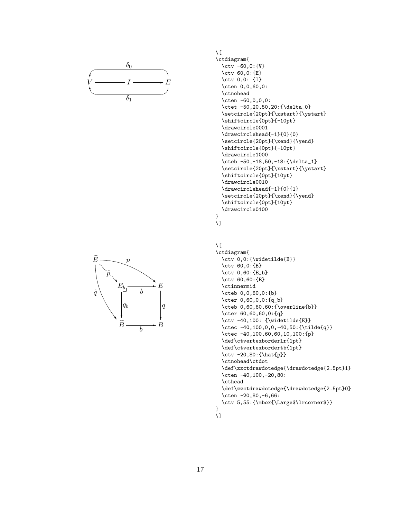



 $\setminus$  [

```
\ctdiagram{
  \ctv -60,0:{V}
  \ctv 60,0:{E}
  \ctv 0,0: {I}
  \cten 0,0,60,0:
  \ctnohead
  \cten -60,0,0,0:
  \ctet -50,20,50,20:{\delta_0}
  \setcircle{20pt}{\xstart}{\ystart}
  \shiftcircle{0pt}{-10pt}
  \drawcircle0001
  \drawcirclehead{-1}{0}{0}
  \setcircle{20pt}{\xend}{\yend}
  \shiftcircle{0pt}{-10pt}
  \drawcircle1000
  \cteb -50,-18,50,-18:{\delta_1}
  \setcircle{20pt}{\xstart}{\ystart}
  \shiftcircle{0pt}{10pt}
  \drawcircle0010
  \drawcirclehead{-1}{0}{1}
  \setcircle{20pt}{\xend}{\yend}
  \shiftcircle{0pt}{10pt}
  \drawcircle0100
}
```


#### $\setminus$  [

```
\ctdiagram{
  \ctv 0,0:{\widetilde{B}}
  \ctv 60,0:{B}
  \ctv 0,60:{E_b}
  \ctv 60,60:{E}
  \ctinnermid
  \cteb 0,0,60,0:{b}
  \cter 0,60,0,0:{q_b}
  \cteb 0,60,60,60:{\overline{b}}
  \cter 60,60,60,0:{q}
  \ctv -40,100: {\widetilde{E}}
  \ctec -40,100,0,0,-40,50:{\tilde{q}}
  \ctec -40,100,60,60,10,100:{p}
  \def\ctvertexborderlr{1pt}
  \def\ctvertexbordertb{1pt}
  \ctv -20,80:{\hat{p}}
  \ctnohead\ctdot
  \def\zzctdrawdotedge{\drawdotedge{2.5pt}1}
  \cten -40,100,-20,80:
  \cthead
  \def\zzctdrawdotedge{\drawdotedge{2.5pt}0}
  \cten -20,80,-6,66:
  \ctv 5,55:{\mbox{\Large$\lrcorner$}}
}
```

```
\lambda]
```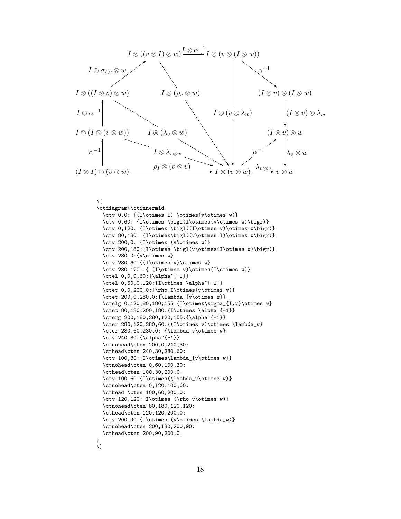

```
\sqrt{2}
```

```
\ctdiagram{\ctinnermid
 \ctv 0,0: {(I\otimes I) \otimes(v\otimes w)}
 \ctv 0,60: {I\otimes \bigl(I\otimes(v\otimes w)\bigr)}
 \ctv 0,120: {I\otimes \bigl((I\otimes v)\otimes w\bigr)}
 \ctv 80,180: {I\otimes\bigl((v\otimes I)\otimes w\bigr)}
 \ctv 200,0: {I\otimes (v\otimes w)}
 \ctv 200,180:{I\otimes \bigl(v\otimes(I\otimes w)\bigr)}
 \ctv 280,0:{v\otimes w}
  \ctv 280,60:{(I\otimes v)\otimes w}
  \ctv 280,120: { (I\otimes v)\otimes(I\otimes w)}
  \ctel 0,0,0,60:{\alpha^{-1}}
  \ctel 0,60,0,120:{I\otimes \alpha^{-1}}
  \ctet 0,0,200,0:{\rho_I\otimes(v\otimes v)}
  \ctet 200,0,280,0:{\lambda_{v\otimes w}}
  \ctelg 0,120,80,180;155:{I\otimes\sigma_{I,v}\otimes w}
  \ctet 80,180,200,180:{I\otimes \alpha^{-1}}
 \cterg 200,180,280,120;155:{\alpha^{-1}}
 \cter 280,120,280,60:{(I\otimes v)\otimes \lambda_w}
  \cter 280,60,280,0: {\lambda_v\otimes w}
  \ctv 240,30:{\alpha^{-1}}
 \ctnohead\cten 200,0,240,30:
 \cthead\cten 240,30,280,60:
  \ctv 100,30:{I\otimes\lambda_{v\otimes w}}
  \ctnohead\cten 0,60,100,30:
  \cthead\cten 100,30,200,0:
  \ctv 100,60:{I\otimes(\lambda_v\otimes w)}
  \ctnohead\cten 0,120,100,60:
  \cthead \cten 100,60,200,0:
  \ctv 120,120:{I\otimes (\rho_v\otimes w)}
  \ctnohead\cten 80,180,120,120:
 \cthead\cten 120,120,200,0:
 \ctv 200,90:{I\otimes (v\otimes \lambda_w)}
 \ctnohead\cten 200,180,200,90:
  \cthead\cten 200,90,200,0:
}
\setminus]
```